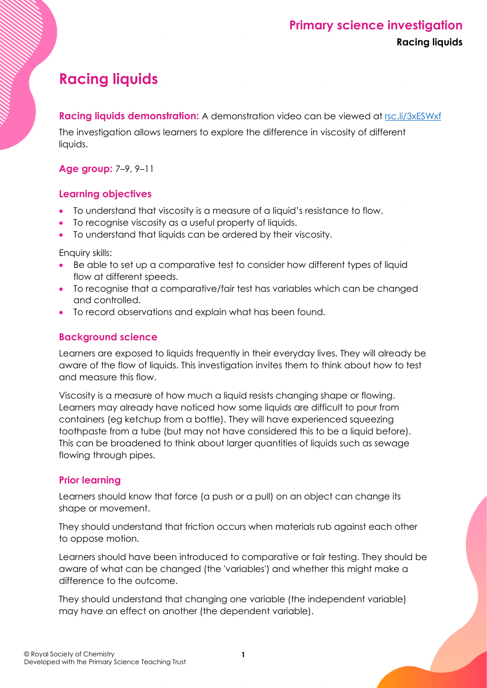# **Primary science investigation Racing liquids**

# **Racing liquids**

**Racing liquids demonstration:** A demonstration video can be viewed at [rsc.li/3xESWxf](https://rsc.li/3xESWxf)

The investigation allows learners to explore the difference in viscosity of different liquids.

#### **Age group:** 7–9, 9–11

#### **Learning objectives**

- To understand that viscosity is a measure of a liquid's resistance to flow.
- To recognise viscosity as a useful property of liquids.
- To understand that liquids can be ordered by their viscosity.

Enquiry skills:

- Be able to set up a comparative test to consider how different types of liquid flow at different speeds.
- To recognise that a comparative/fair test has variables which can be changed and controlled.
- To record observations and explain what has been found.

## **Background science**

Learners are exposed to liquids frequently in their everyday lives. They will already be aware of the flow of liquids. This investigation invites them to think about how to test and measure this flow.

Viscosity is a measure of how much a liquid resists changing shape or flowing. Learners may already have noticed how some liquids are difficult to pour from containers (eg ketchup from a bottle). They will have experienced squeezing toothpaste from a tube (but may not have considered this to be a liquid before). This can be broadened to think about larger quantities of liquids such as sewage flowing through pipes.

## **Prior learning**

Learners should know that force (a push or a pull) on an object can change its shape or movement.

They should understand that friction occurs when materials rub against each other to oppose motion.

Learners should have been introduced to comparative or fair testing. They should be aware of what can be changed (the 'variables') and whether this might make a difference to the outcome.

They should understand that changing one variable (the independent variable) may have an effect on another (the dependent variable).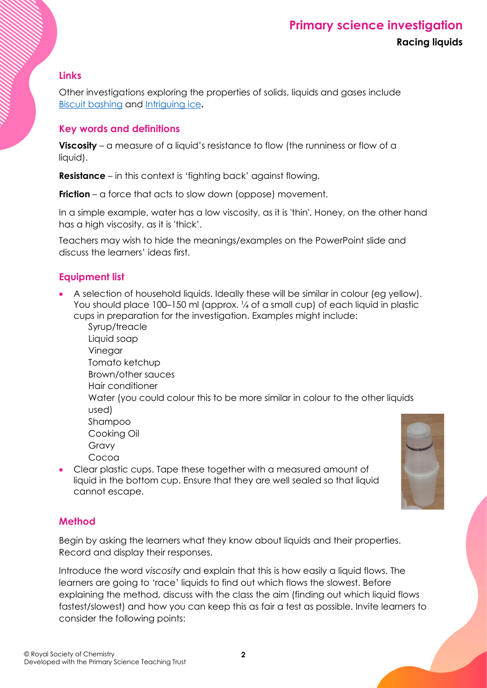#### **Links**

Other investigations exploring the properties of solids, liquids and gases include [Biscuit bashing](https://rsc.li/3edTIcT) and [Intriguing ice](https://rsc.li/3wBAGnf)**.**

## **Key words and definitions**

**Viscosity** – a measure of a liquid's resistance to flow (the runniness or flow of a liquid).

**Resistance** – in this context is 'fighting back' against flowing.

**Friction** – a force that acts to slow down (oppose) movement.

In a simple example, water has a low viscosity, as it is 'thin'. Honey, on the other hand has a high viscosity, as it is 'thick'.

Teachers may wish to hide the meanings/examples on the PowerPoint slide and discuss the learners' ideas first.

## **Equipment list**

- A selection of household liquids. Ideally these will be similar in colour (eg yellow). You should place 100–150 ml (approx. ¼ of a small cup) of each liquid in plastic cups in preparation for the investigation. Examples might include:
	- Syrup/treacle Liquid soap Vinegar Tomato ketchup Brown/other sauces Hair conditioner Water (you could colour this to be more similar in colour to the other liquids used) Shampoo Cooking Oil Gravy Cocoa
- Clear plastic cups. Tape these together with a measured amount of liquid in the bottom cup. Ensure that they are well sealed so that liquid cannot escape.



#### **Method**

Begin by asking the learners what they know about liquids and their properties. Record and display their responses.

Introduce the word *viscosity* and explain that this is how easily a liquid flows. The learners are going to 'race' liquids to find out which flows the slowest. Before explaining the method, discuss with the class the aim (finding out which liquid flows fastest/slowest) and how you can keep this as fair a test as possible. Invite learners to consider the following points: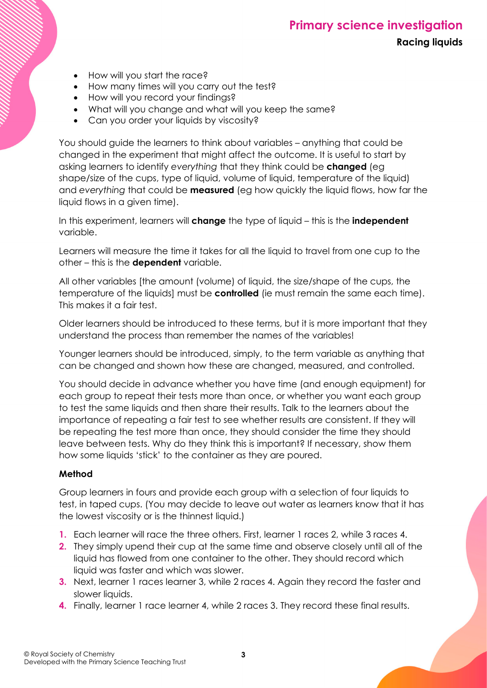## **Primary science investigation Racing liquids**

- How will you start the race?
- How many times will you carry out the test?
- How will you record your findings?
- What will you change and what will you keep the same?
- Can you order your liquids by viscosity?

You should guide the learners to think about variables – anything that could be changed in the experiment that might affect the outcome. It is useful to start by asking learners to identify *everything* that they think could be **changed** (eg shape/size of the cups, type of liquid, volume of liquid, temperature of the liquid) and *everything* that could be **measured** (eg how quickly the liquid flows, how far the liquid flows in a given time).

In this experiment, learners will **change** the type of liquid – this is the **independent** variable.

Learners will measure the time it takes for all the liquid to travel from one cup to the other – this is the **dependent** variable.

All other variables [the amount (volume) of liquid, the size/shape of the cups, the temperature of the liquids] must be **controlled** (ie must remain the same each time). This makes it a fair test.

Older learners should be introduced to these terms, but it is more important that they understand the process than remember the names of the variables!

Younger learners should be introduced, simply, to the term variable as anything that can be changed and shown how these are changed, measured, and controlled.

You should decide in advance whether you have time (and enough equipment) for each group to repeat their tests more than once, or whether you want each group to test the same liquids and then share their results. Talk to the learners about the importance of repeating a fair test to see whether results are consistent. If they will be repeating the test more than once, they should consider the time they should leave between tests. Why do they think this is important? If necessary, show them how some liquids 'stick' to the container as they are poured.

#### **Method**

Group learners in fours and provide each group with a selection of four liquids to test, in taped cups. (You may decide to leave out water as learners know that it has the lowest viscosity or is the thinnest liquid.)

- **1.** Each learner will race the three others. First, learner 1 races 2, while 3 races 4.
- **2.** They simply upend their cup at the same time and observe closely until all of the liquid has flowed from one container to the other. They should record which liquid was faster and which was slower.
- **3.** Next, learner 1 races learner 3, while 2 races 4. Again they record the faster and slower liquids.
- **4.** Finally, learner 1 race learner 4, while 2 races 3. They record these final results.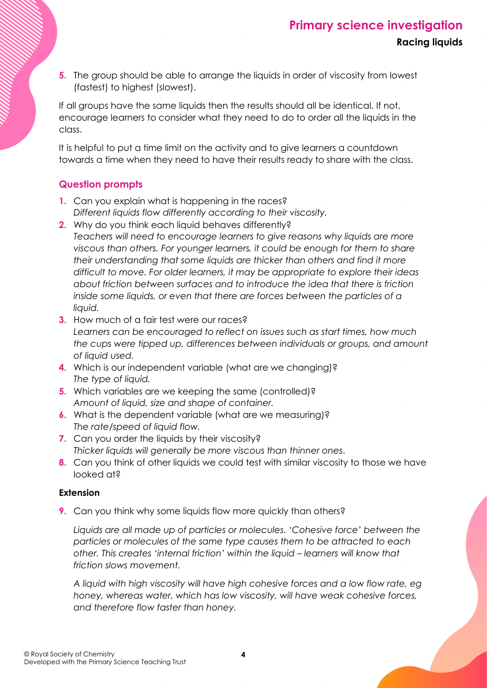**5.** The group should be able to arrange the liquids in order of viscosity from lowest (fastest) to highest (slowest).

If all groups have the same liquids then the results should all be identical. If not, encourage learners to consider what they need to do to order all the liquids in the class.

It is helpful to put a time limit on the activity and to give learners a countdown towards a time when they need to have their results ready to share with the class.

## **Question prompts**

- **1.** Can you explain what is happening in the races? *Different liquids flow differently according to their viscosity.*
- **2.** Why do you think each liquid behaves differently? *Teachers will need to encourage learners to give reasons why liquids are more viscous than others. For younger learners, it could be enough for them to share their understanding that some liquids are thicker than others and find it more difficult to move. For older learners, it may be appropriate to explore their ideas about friction between surfaces and to introduce the idea that there is friction inside some liquids, or even that there are forces between the particles of a liquid.*
- **3.** How much of a fair test were our races? *Learners can be encouraged to reflect on issues such as start times, how much the cups were tipped up, differences between individuals or groups, and amount of liquid used.*
- **4.** Which is our independent variable (what are we changing)? *The type of liquid.*
- **5.** Which variables are we keeping the same (controlled)? *Amount of liquid, size and shape of container.*
- **6.** What is the dependent variable (what are we measuring)? *The rate/speed of liquid flow.*
- **7.** Can you order the liquids by their viscosity? *Thicker liquids will generally be more viscous than thinner ones*.
- **8.** Can you think of other liquids we could test with similar viscosity to those we have looked at?

#### **Extension**

**9.** Can you think why some liquids flow more quickly than others?

*Liquids are all made up of particles or molecules. 'Cohesive force' between the particles or molecules of the same type causes them to be attracted to each other. This creates 'internal friction' within the liquid – learners will know that friction slows movement.*

*A liquid with high viscosity will have high cohesive forces and a low flow rate, eg honey, whereas water, which has low viscosity, will have weak cohesive forces, and therefore flow faster than honey.*